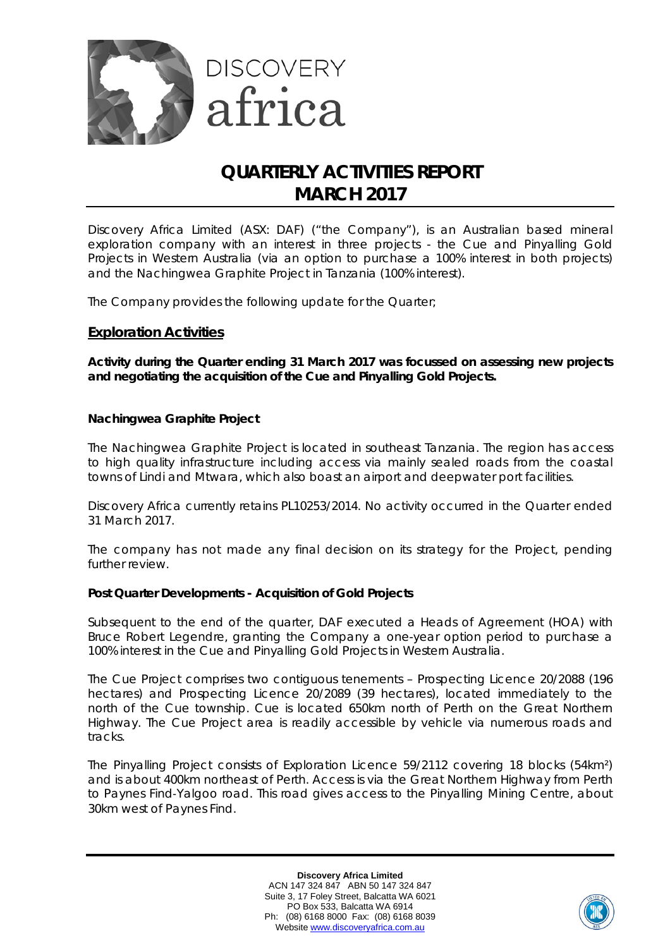

# **QUARTERLY ACTIVITIES REPORT MARCH 2017**

Discovery Africa Limited (ASX: DAF) ("the Company"), is an Australian based mineral exploration company with an interest in three projects - the Cue and Pinyalling Gold Projects in Western Australia (via an option to purchase a 100% interest in both projects) and the Nachingwea Graphite Project in Tanzania (100% interest).

The Company provides the following update for the Quarter;

# **Exploration Activities**

*Activity during the Quarter ending 31 March 2017 was focussed on assessing new projects and negotiating the acquisition of the Cue and Pinyalling Gold Projects.*

### **Nachingwea Graphite Project**

The Nachingwea Graphite Project is located in southeast Tanzania. The region has access to high quality infrastructure including access via mainly sealed roads from the coastal towns of Lindi and Mtwara, which also boast an airport and deepwater port facilities.

Discovery Africa currently retains PL10253/2014. No activity occurred in the Quarter ended 31 March 2017.

The company has not made any final decision on its strategy for the Project, pending further review.

## **Post Quarter Developments - Acquisition of Gold Projects**

Subsequent to the end of the quarter, DAF executed a Heads of Agreement (HOA) with Bruce Robert Legendre, granting the Company a one-year option period to purchase a 100% interest in the Cue and Pinyalling Gold Projects in Western Australia.

The Cue Project comprises two contiguous tenements – Prospecting Licence 20/2088 (196 hectares) and Prospecting Licence 20/2089 (39 hectares), located immediately to the north of the Cue township. Cue is located 650km north of Perth on the Great Northern Highway. The Cue Project area is readily accessible by vehicle via numerous roads and tracks.

The Pinyalling Project consists of Exploration Licence 59/2112 covering 18 blocks (54km²) and is about 400km northeast of Perth. Access is via the Great Northern Highway from Perth to Paynes Find‐Yalgoo road. This road gives access to the Pinyalling Mining Centre, about 30km west of Paynes Find.

> **Discovery Africa Limited** ACN 147 324 847 ABN 50 147 324 847 Suite 3, 17 Foley Street, Balcatta WA 6021 PO Box 533, Balcatta WA 6914 Ph: (08) 6168 8000 Fax: (08) 6168 8039 Website [www.discoveryafrica.com.au](http://www.discoveryafrica.com.au/)

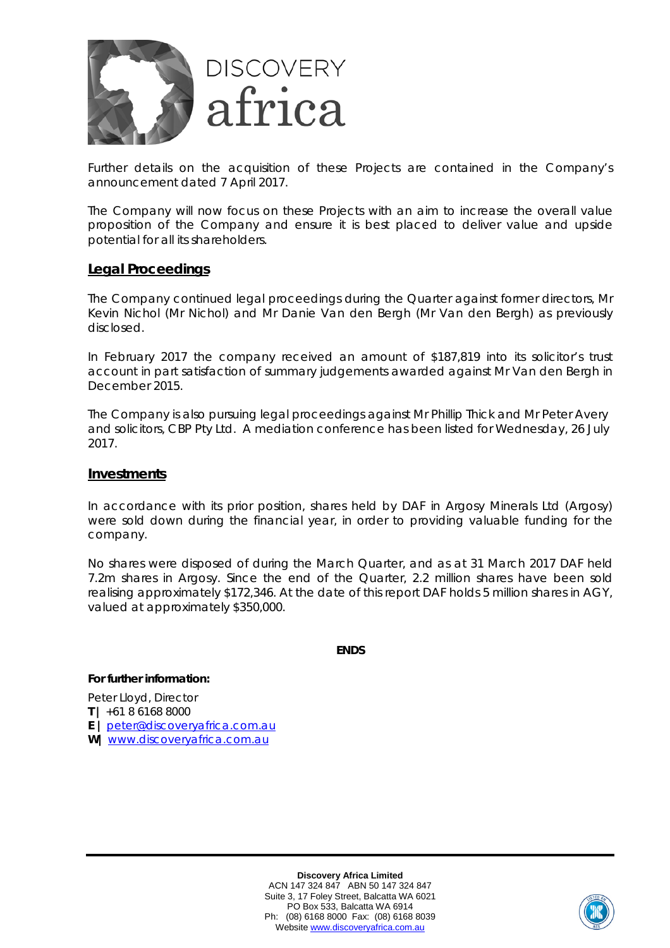

Further details on the acquisition of these Projects are contained in the Company's announcement dated 7 April 2017.

The Company will now focus on these Projects with an aim to increase the overall value proposition of the Company and ensure it is best placed to deliver value and upside potential for all its shareholders.

## **Legal Proceedings**

The Company continued legal proceedings during the Quarter against former directors, Mr Kevin Nichol (Mr Nichol) and Mr Danie Van den Bergh (Mr Van den Bergh) as previously disclosed.

In February 2017 the company received an amount of \$187,819 into its solicitor's trust account in part satisfaction of summary judgements awarded against Mr Van den Bergh in December 2015.

The Company is also pursuing legal proceedings against Mr Phillip Thick and Mr Peter Avery and solicitors, CBP Pty Ltd. A mediation conference has been listed for Wednesday, 26 July 2017.

#### **Investments**

In accordance with its prior position, shares held by DAF in Argosy Minerals Ltd (Argosy) were sold down during the financial year, in order to providing valuable funding for the company.

No shares were disposed of during the March Quarter, and as at 31 March 2017 DAF held 7.2m shares in Argosy. Since the end of the Quarter, 2.2 million shares have been sold realising approximately \$172,346. At the date of this report DAF holds 5 million shares in AGY, valued at approximately \$350,000.

**ENDS**

#### **For further information:**

Peter Lloyd, Director **T |** +61 8 6168 8000 **E |** [peter@discoveryafrica.com.au](mailto:peter@discoveryafrica.com.au) **W|** [www.discoveryafrica.com.au](http://www.discoveryafrica.com.au/)

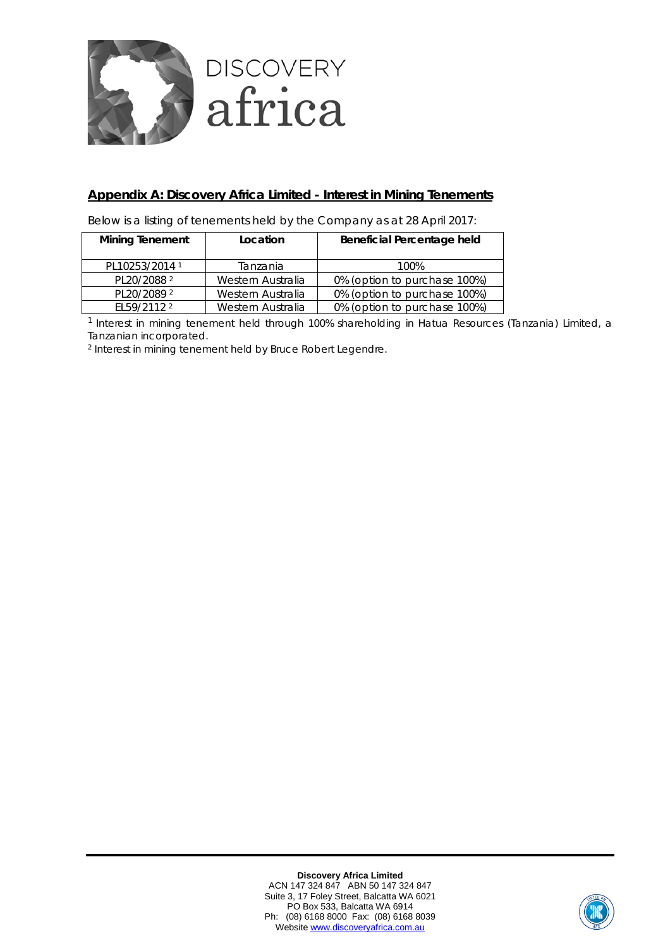

# **Appendix A: Discovery Africa Limited - Interest in Mining Tenements**

Below is a listing of tenements held by the Company as at 28 April 2017:

| <b>Mining Tenement</b><br>Location |                   | Beneficial Percentage held   |
|------------------------------------|-------------------|------------------------------|
| PL10253/2014 <sup>1</sup>          | Tanzania          | 100%                         |
| PL20/2088 <sup>2</sup>             | Western Australia | 0% (option to purchase 100%) |
| PL20/2089 <sup>2</sup>             | Western Australia | 0% (option to purchase 100%) |
| EL59/2112 <sup>2</sup>             | Western Australia | 0% (option to purchase 100%) |

1 Interest in mining tenement held through 100% shareholding in Hatua Resources (Tanzania) Limited, a Tanzanian incorporated.

<sup>2</sup> Interest in mining tenement held by Bruce Robert Legendre.

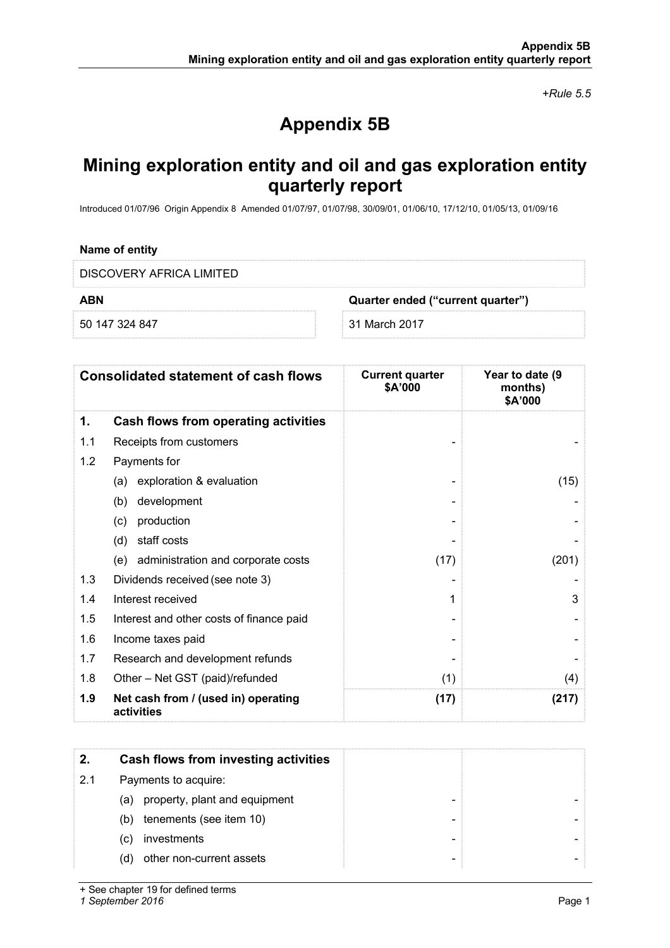*+Rule 5.5*

# **Appendix 5B**

# **Mining exploration entity and oil and gas exploration entity quarterly report**

Introduced 01/07/96 Origin Appendix 8 Amended 01/07/97, 01/07/98, 30/09/01, 01/06/10, 17/12/10, 01/05/13, 01/09/16

#### **Name of entity**

DISCOVERY AFRICA LIMITED

**ABN Quarter ended ("current quarter")**

50 147 324 847 31 March 2017

| <b>Consolidated statement of cash flows</b> |                                                   | <b>Current quarter</b><br>\$A'000 | Year to date (9<br>months)<br>\$A'000 |  |
|---------------------------------------------|---------------------------------------------------|-----------------------------------|---------------------------------------|--|
| 1.                                          | Cash flows from operating activities              |                                   |                                       |  |
| 1.1                                         | Receipts from customers                           |                                   |                                       |  |
| 1.2                                         | Payments for                                      |                                   |                                       |  |
|                                             | exploration & evaluation<br>(a)                   |                                   | (15)                                  |  |
|                                             | development<br>(b)                                |                                   |                                       |  |
|                                             | production<br>(c)                                 |                                   |                                       |  |
|                                             | staff costs<br>(d)                                |                                   |                                       |  |
|                                             | (e) administration and corporate costs            | (17)                              | (201)                                 |  |
| 1.3                                         | Dividends received (see note 3)                   |                                   |                                       |  |
| 1.4                                         | Interest received                                 | 1                                 | 3                                     |  |
| 1.5                                         | Interest and other costs of finance paid          |                                   |                                       |  |
| 1.6                                         | Income taxes paid                                 |                                   |                                       |  |
| 1.7                                         | Research and development refunds                  |                                   |                                       |  |
| 1.8                                         | Other - Net GST (paid)/refunded                   | (1)                               | (4)                                   |  |
| 1.9                                         | Net cash from / (used in) operating<br>activities | (17)                              | (217)                                 |  |

|     | Cash flows from investing activities |  |
|-----|--------------------------------------|--|
| 2.1 | Payments to acquire:                 |  |
|     | property, plant and equipment<br>(a) |  |
|     | tenements (see item 10)<br>(b)       |  |
|     | investments<br>(C)                   |  |
|     | other non-current assets<br>(d)      |  |

+ See chapter 19 for defined terms

*1 September 2016* Page 1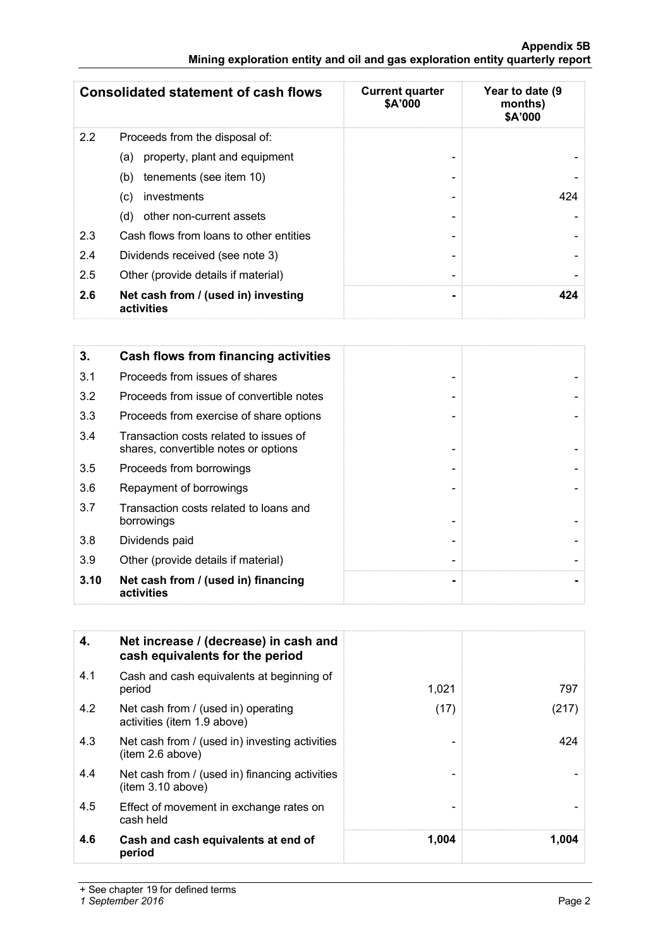|     | <b>Consolidated statement of cash flows</b>       | <b>Current quarter</b><br>\$A'000 | Year to date (9<br>months)<br>\$A'000 |  |
|-----|---------------------------------------------------|-----------------------------------|---------------------------------------|--|
| 2.2 | Proceeds from the disposal of:                    |                                   |                                       |  |
|     | property, plant and equipment<br>(a)              |                                   |                                       |  |
|     | tenements (see item 10)<br>(b)                    |                                   |                                       |  |
|     | investments<br>(C)                                |                                   | 424                                   |  |
|     | other non-current assets<br>(d)                   |                                   |                                       |  |
| 2.3 | Cash flows from loans to other entities           |                                   |                                       |  |
| 2.4 | Dividends received (see note 3)                   |                                   |                                       |  |
| 2.5 | Other (provide details if material)               |                                   |                                       |  |
| 2.6 | Net cash from / (used in) investing<br>activities |                                   | 424                                   |  |

| 3.   | <b>Cash flows from financing activities</b>                                    |
|------|--------------------------------------------------------------------------------|
| 3.1  | Proceeds from issues of shares                                                 |
| 3.2  | Proceeds from issue of convertible notes                                       |
| 3.3  | Proceeds from exercise of share options                                        |
| 3.4  | Transaction costs related to issues of<br>shares, convertible notes or options |
| 3.5  | Proceeds from borrowings                                                       |
| 3.6  | Repayment of borrowings                                                        |
| 3.7  | Transaction costs related to loans and<br>borrowings                           |
| 3.8  | Dividends paid                                                                 |
| 3.9  | Other (provide details if material)                                            |
| 3.10 | Net cash from / (used in) financing<br>activities                              |

| 4.  | Net increase / (decrease) in cash and<br>cash equivalents for the period |       |       |
|-----|--------------------------------------------------------------------------|-------|-------|
| 4.1 | Cash and cash equivalents at beginning of<br>period                      | 1,021 | 797   |
| 4.2 | Net cash from / (used in) operating<br>activities (item 1.9 above)       | (17)  | (217) |
| 4.3 | Net cash from / (used in) investing activities<br>(item 2.6 above)       |       | 424   |
| 4.4 | Net cash from / (used in) financing activities<br>(item 3.10 above)      |       |       |
| 4.5 | Effect of movement in exchange rates on<br>cash held                     |       |       |
| 4.6 | Cash and cash equivalents at end of<br>period                            | 1.004 | 1.004 |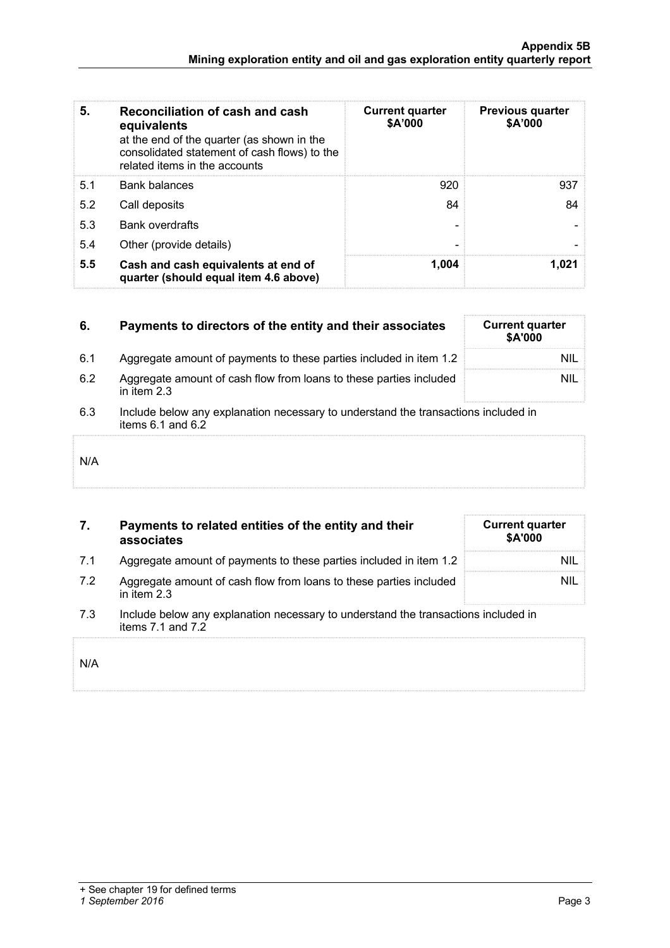| 5.  | Reconciliation of cash and cash<br>equivalents<br>at the end of the quarter (as shown in the<br>consolidated statement of cash flows) to the<br>related items in the accounts | <b>Current quarter</b><br>\$A'000 | <b>Previous quarter</b><br>\$A'000 |
|-----|-------------------------------------------------------------------------------------------------------------------------------------------------------------------------------|-----------------------------------|------------------------------------|
| 5.1 | <b>Bank balances</b>                                                                                                                                                          | 920                               | 937                                |
| 5.2 | Call deposits                                                                                                                                                                 | 84                                | 84                                 |
| 5.3 | <b>Bank overdrafts</b>                                                                                                                                                        |                                   |                                    |
| 5.4 | Other (provide details)                                                                                                                                                       |                                   |                                    |
| 5.5 | Cash and cash equivalents at end of<br>quarter (should equal item 4.6 above)                                                                                                  | 1.004                             | 1.021                              |

| 6.  | Payments to directors of the entity and their associates                                                    | <b>Current quarter</b><br>\$A'000 |
|-----|-------------------------------------------------------------------------------------------------------------|-----------------------------------|
| 6.1 | Aggregate amount of payments to these parties included in item 1.2                                          | NIL                               |
| 6.2 | Aggregate amount of cash flow from loans to these parties included<br>in item 2.3                           | NIL                               |
| 6.3 | Include below any explanation necessary to understand the transactions included in<br>items $6.1$ and $6.2$ |                                   |
| N/A |                                                                                                             |                                   |

| 7. | Payments to related entities of the entity and their |
|----|------------------------------------------------------|
|    | associates                                           |

|  | Aggregate amount of payments to these parties included in item 1.2 | NIL |
|--|--------------------------------------------------------------------|-----|
|  |                                                                    |     |

7.2 Aggregate amount of cash flow from loans to these parties included in item 2.3

| <b>Current quarter</b><br>\$A'000 |     |
|-----------------------------------|-----|
|                                   | NIL |
|                                   | NIL |

7.3 Include below any explanation necessary to understand the transactions included in items 7.1 and 7.2

| N/A |  |  |  |
|-----|--|--|--|
|     |  |  |  |
|     |  |  |  |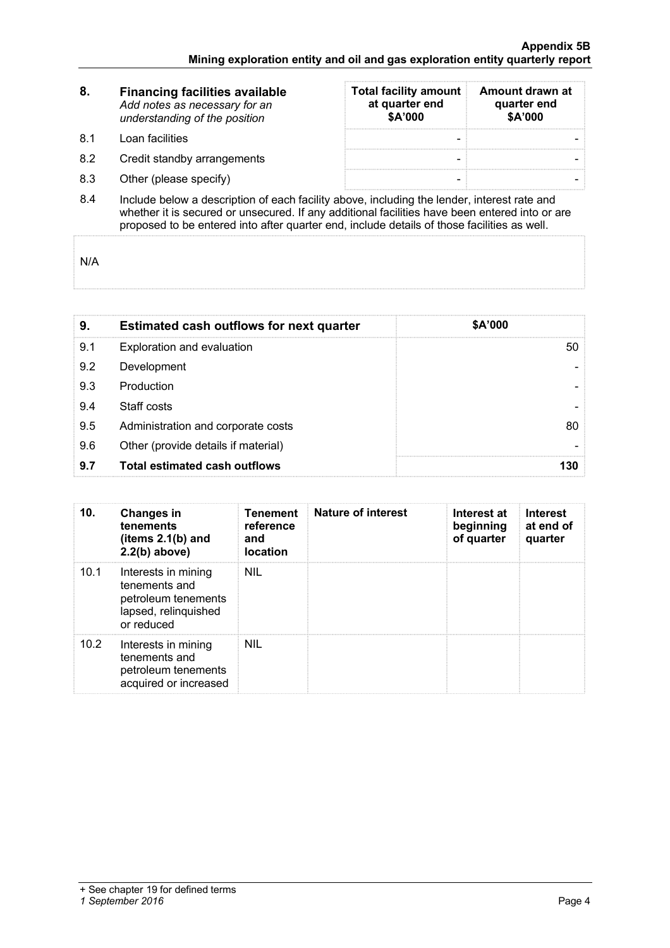| 8.  | <b>Financing facilities available</b><br>Add notes as necessary for an<br>understanding of the position | <b>Total facility amount</b><br>at quarter end<br>\$A'000 | Amount drawn at<br>quarter end<br>\$A'000 |  |  |  |
|-----|---------------------------------------------------------------------------------------------------------|-----------------------------------------------------------|-------------------------------------------|--|--|--|
| .81 | Loan facilities                                                                                         |                                                           |                                           |  |  |  |
| 8.2 | Credit standby arrangements                                                                             |                                                           |                                           |  |  |  |
| 8.3 | Other (please specify)                                                                                  |                                                           |                                           |  |  |  |
|     | lnolude helews a deception of each fooility above jnoluding the lender, interest rate and               |                                                           |                                           |  |  |  |

8.4 Include below a description of each facility above, including the lender, interest rate and whether it is secured or unsecured. If any additional facilities have been entered into or are proposed to be entered into after quarter end, include details of those facilities as well.

N/A

| 9   | <b>Estimated cash outflows for next quarter</b> | \$A'000 |  |
|-----|-------------------------------------------------|---------|--|
| 9.1 | Exploration and evaluation                      |         |  |
| 9.2 | Development                                     |         |  |
| 9.3 | Production                                      |         |  |
| 9.4 | Staff costs                                     |         |  |
| 9.5 | Administration and corporate costs              |         |  |
| 9.6 | Other (provide details if material)             |         |  |
| 9.7 | <b>Total estimated cash outflows</b>            |         |  |

| 10.  | <b>Changes in</b><br>tenements<br>(items $2.1(b)$ and<br>$2.2(b)$ above)                          | Tenement<br>reference<br>and<br>location | Nature of interest | Interest at<br>beginning<br>of quarter | <b>Interest</b><br>at end of<br>quarter |
|------|---------------------------------------------------------------------------------------------------|------------------------------------------|--------------------|----------------------------------------|-----------------------------------------|
| 10.1 | Interests in mining<br>tenements and<br>petroleum tenements<br>lapsed, relinquished<br>or reduced | <b>NIL</b>                               |                    |                                        |                                         |
| 10.2 | Interests in mining<br>tenements and<br>petroleum tenements<br>acquired or increased              | <b>NIL</b>                               |                    |                                        |                                         |